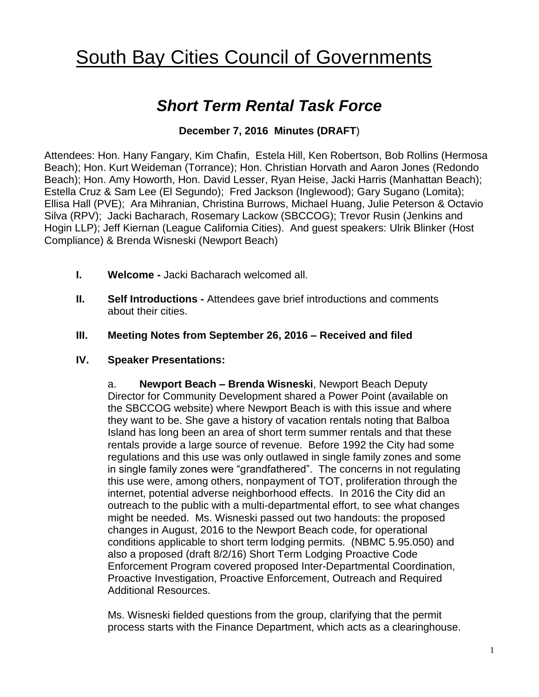# **South Bay Cities Council of Governments**

## *Short Term Rental Task Force*

### **December 7, 2016 Minutes (DRAFT**)

Attendees: Hon. Hany Fangary, Kim Chafin, Estela Hill, Ken Robertson, Bob Rollins (Hermosa Beach); Hon. Kurt Weideman (Torrance); Hon. Christian Horvath and Aaron Jones (Redondo Beach); Hon. Amy Howorth, Hon. David Lesser, Ryan Heise, Jacki Harris (Manhattan Beach); Estella Cruz & Sam Lee (El Segundo); Fred Jackson (Inglewood); Gary Sugano (Lomita); Ellisa Hall (PVE); Ara Mihranian, Christina Burrows, Michael Huang, Julie Peterson & Octavio Silva (RPV); Jacki Bacharach, Rosemary Lackow (SBCCOG); Trevor Rusin (Jenkins and Hogin LLP); Jeff Kiernan (League California Cities). And guest speakers: Ulrik Blinker (Host Compliance) & Brenda Wisneski (Newport Beach)

- **I. Welcome -** Jacki Bacharach welcomed all.
- **II. Self Introductions -** Attendees gave brief introductions and comments about their cities.
- **III. Meeting Notes from September 26, 2016 – Received and filed**
- **IV. Speaker Presentations:**

a. **Newport Beach – Brenda Wisneski**, Newport Beach Deputy Director for Community Development shared a Power Point (available on the SBCCOG website) where Newport Beach is with this issue and where they want to be. She gave a history of vacation rentals noting that Balboa Island has long been an area of short term summer rentals and that these rentals provide a large source of revenue. Before 1992 the City had some regulations and this use was only outlawed in single family zones and some in single family zones were "grandfathered". The concerns in not regulating this use were, among others, nonpayment of TOT, proliferation through the internet, potential adverse neighborhood effects. In 2016 the City did an outreach to the public with a multi-departmental effort, to see what changes might be needed. Ms. Wisneski passed out two handouts: the proposed changes in August, 2016 to the Newport Beach code, for operational conditions applicable to short term lodging permits. (NBMC 5.95.050) and also a proposed (draft 8/2/16) Short Term Lodging Proactive Code Enforcement Program covered proposed Inter-Departmental Coordination, Proactive Investigation, Proactive Enforcement, Outreach and Required Additional Resources.

Ms. Wisneski fielded questions from the group, clarifying that the permit process starts with the Finance Department, which acts as a clearinghouse.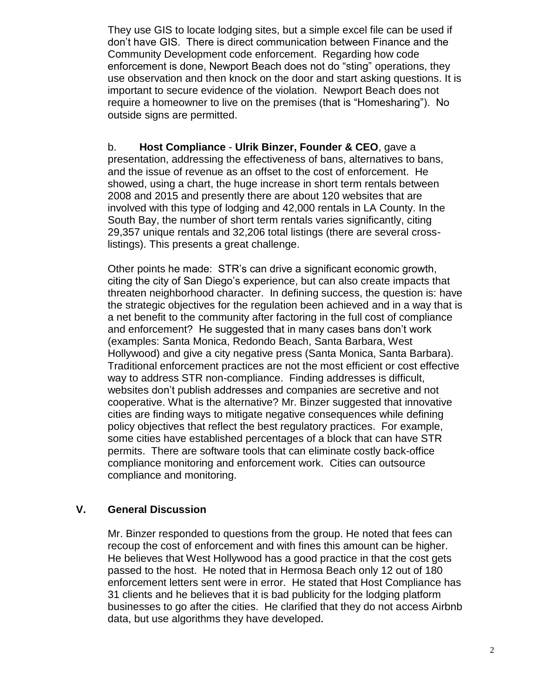They use GIS to locate lodging sites, but a simple excel file can be used if don't have GIS. There is direct communication between Finance and the Community Development code enforcement. Regarding how code enforcement is done, Newport Beach does not do "sting" operations, they use observation and then knock on the door and start asking questions. It is important to secure evidence of the violation. Newport Beach does not require a homeowner to live on the premises (that is "Homesharing"). No outside signs are permitted.

b. **Host Compliance** - **Ulrik Binzer, Founder & CEO**, gave a presentation, addressing the effectiveness of bans, alternatives to bans, and the issue of revenue as an offset to the cost of enforcement. He showed, using a chart, the huge increase in short term rentals between 2008 and 2015 and presently there are about 120 websites that are involved with this type of lodging and 42,000 rentals in LA County. In the South Bay, the number of short term rentals varies significantly, citing 29,357 unique rentals and 32,206 total listings (there are several crosslistings). This presents a great challenge.

Other points he made: STR's can drive a significant economic growth, citing the city of San Diego's experience, but can also create impacts that threaten neighborhood character. In defining success, the question is: have the strategic objectives for the regulation been achieved and in a way that is a net benefit to the community after factoring in the full cost of compliance and enforcement? He suggested that in many cases bans don't work (examples: Santa Monica, Redondo Beach, Santa Barbara, West Hollywood) and give a city negative press (Santa Monica, Santa Barbara). Traditional enforcement practices are not the most efficient or cost effective way to address STR non-compliance. Finding addresses is difficult, websites don't publish addresses and companies are secretive and not cooperative. What is the alternative? Mr. Binzer suggested that innovative cities are finding ways to mitigate negative consequences while defining policy objectives that reflect the best regulatory practices. For example, some cities have established percentages of a block that can have STR permits. There are software tools that can eliminate costly back-office compliance monitoring and enforcement work. Cities can outsource compliance and monitoring.

#### **V. General Discussion**

Mr. Binzer responded to questions from the group. He noted that fees can recoup the cost of enforcement and with fines this amount can be higher. He believes that West Hollywood has a good practice in that the cost gets passed to the host. He noted that in Hermosa Beach only 12 out of 180 enforcement letters sent were in error. He stated that Host Compliance has 31 clients and he believes that it is bad publicity for the lodging platform businesses to go after the cities. He clarified that they do not access Airbnb data, but use algorithms they have developed**.**